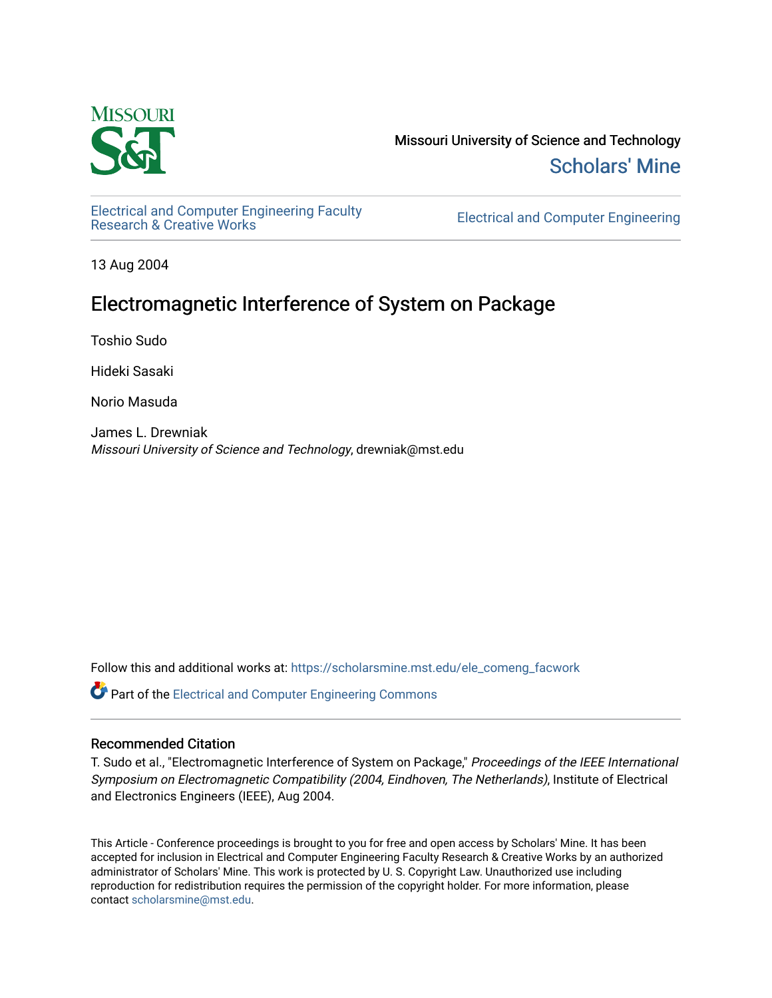

Missouri University of Science and Technology [Scholars' Mine](https://scholarsmine.mst.edu/) 

[Electrical and Computer Engineering Faculty](https://scholarsmine.mst.edu/ele_comeng_facwork)

**Electrical and Computer Engineering** 

13 Aug 2004

# Electromagnetic Interference of System on Package

Toshio Sudo

Hideki Sasaki

Norio Masuda

James L. Drewniak Missouri University of Science and Technology, drewniak@mst.edu

Follow this and additional works at: [https://scholarsmine.mst.edu/ele\\_comeng\\_facwork](https://scholarsmine.mst.edu/ele_comeng_facwork?utm_source=scholarsmine.mst.edu%2Fele_comeng_facwork%2F726&utm_medium=PDF&utm_campaign=PDFCoverPages)

**C** Part of the Electrical and Computer Engineering Commons

# Recommended Citation

T. Sudo et al., "Electromagnetic Interference of System on Package," Proceedings of the IEEE International Symposium on Electromagnetic Compatibility (2004, Eindhoven, The Netherlands), Institute of Electrical and Electronics Engineers (IEEE), Aug 2004.

This Article - Conference proceedings is brought to you for free and open access by Scholars' Mine. It has been accepted for inclusion in Electrical and Computer Engineering Faculty Research & Creative Works by an authorized administrator of Scholars' Mine. This work is protected by U. S. Copyright Law. Unauthorized use including reproduction for redistribution requires the permission of the copyright holder. For more information, please contact [scholarsmine@mst.edu](mailto:scholarsmine@mst.edu).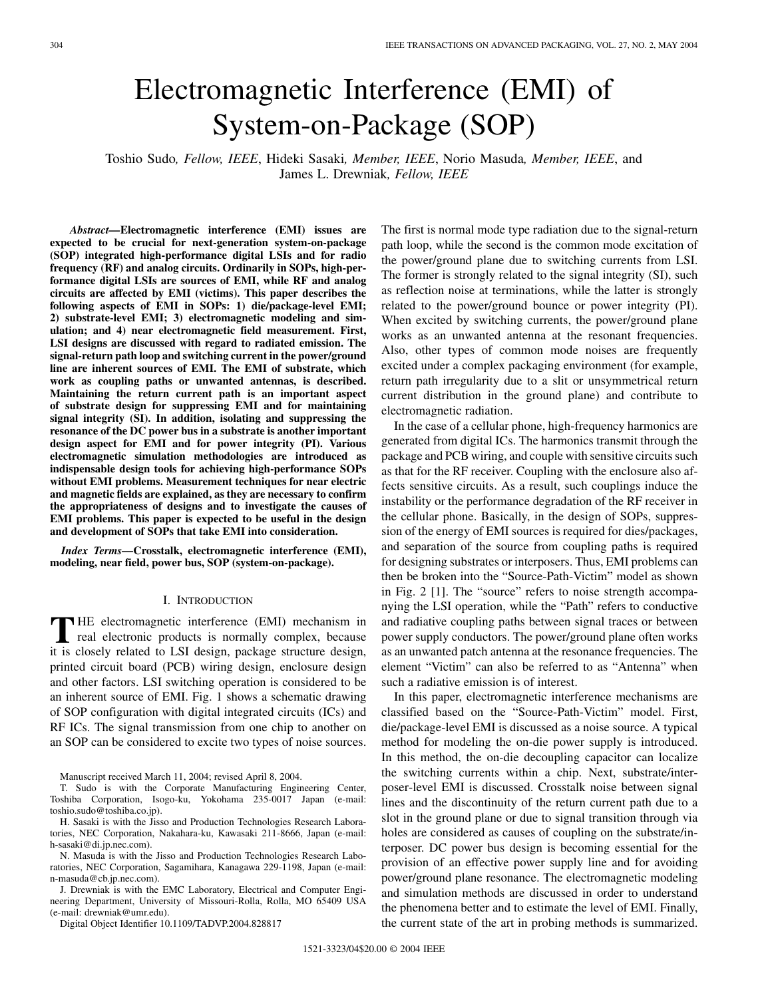# Electromagnetic Interference (EMI) of System-on-Package (SOP)

Toshio Sudo*, Fellow, IEEE*, Hideki Sasaki*, Member, IEEE*, Norio Masuda*, Member, IEEE*, and James L. Drewniak*, Fellow, IEEE*

*Abstract—***Electromagnetic interference (EMI) issues are expected to be crucial for next-generation system-on-package (SOP) integrated high-performance digital LSIs and for radio frequency (RF) and analog circuits. Ordinarily in SOPs, high-performance digital LSIs are sources of EMI, while RF and analog circuits are affected by EMI (victims). This paper describes the following aspects of EMI in SOPs: 1) die/package-level EMI; 2) substrate-level EMI; 3) electromagnetic modeling and simulation; and 4) near electromagnetic field measurement. First, LSI designs are discussed with regard to radiated emission. The signal-return path loop and switching current in the power/ground line are inherent sources of EMI. The EMI of substrate, which work as coupling paths or unwanted antennas, is described. Maintaining the return current path is an important aspect of substrate design for suppressing EMI and for maintaining signal integrity (SI). In addition, isolating and suppressing the resonance of the DC power bus in a substrate is another important design aspect for EMI and for power integrity (PI). Various electromagnetic simulation methodologies are introduced as indispensable design tools for achieving high-performance SOPs without EMI problems. Measurement techniques for near electric and magnetic fields are explained, as they are necessary to confirm the appropriateness of designs and to investigate the causes of EMI problems. This paper is expected to be useful in the design and development of SOPs that take EMI into consideration.**

*Index Terms—***Crosstalk, electromagnetic interference (EMI), modeling, near field, power bus, SOP (system-on-package).**

# I. INTRODUCTION

**T** HE electromagnetic interference (EMI) mechanism in real electronic products is normally complex, because it is closely related to LSI design, package structure design, printed circuit board (PCB) wiring design, enclosure design and other factors. LSI switching operation is considered to be an inherent source of EMI. Fig. 1 shows a schematic drawing of SOP configuration with digital integrated circuits (ICs) and RF ICs. The signal transmission from one chip to another on an SOP can be considered to excite two types of noise sources.

Manuscript received March 11, 2004; revised April 8, 2004.

T. Sudo is with the Corporate Manufacturing Engineering Center, Toshiba Corporation, Isogo-ku, Yokohama 235-0017 Japan (e-mail: toshio.sudo@toshiba.co.jp).

H. Sasaki is with the Jisso and Production Technologies Research Laboratories, NEC Corporation, Nakahara-ku, Kawasaki 211-8666, Japan (e-mail: h-sasaki@di.jp.nec.com).

N. Masuda is with the Jisso and Production Technologies Research Laboratories, NEC Corporation, Sagamihara, Kanagawa 229-1198, Japan (e-mail: n-masuda@cb.jp.nec.com).

J. Drewniak is with the EMC Laboratory, Electrical and Computer Engineering Department, University of Missouri-Rolla, Rolla, MO 65409 USA (e-mail: drewniak@umr.edu).

Digital Object Identifier 10.1109/TADVP.2004.828817

The first is normal mode type radiation due to the signal-return path loop, while the second is the common mode excitation of the power/ground plane due to switching currents from LSI. The former is strongly related to the signal integrity (SI), such as reflection noise at terminations, while the latter is strongly related to the power/ground bounce or power integrity (PI). When excited by switching currents, the power/ground plane works as an unwanted antenna at the resonant frequencies. Also, other types of common mode noises are frequently excited under a complex packaging environment (for example, return path irregularity due to a slit or unsymmetrical return current distribution in the ground plane) and contribute to electromagnetic radiation.

In the case of a cellular phone, high-frequency harmonics are generated from digital ICs. The harmonics transmit through the package and PCB wiring, and couple with sensitive circuits such as that for the RF receiver. Coupling with the enclosure also affects sensitive circuits. As a result, such couplings induce the instability or the performance degradation of the RF receiver in the cellular phone. Basically, in the design of SOPs, suppression of the energy of EMI sources is required for dies/packages, and separation of the source from coupling paths is required for designing substrates or interposers. Thus, EMI problems can then be broken into the "Source-Path-Victim" model as shown in Fig. 2 [\[1](#page-9-0)]. The "source" refers to noise strength accompanying the LSI operation, while the "Path" refers to conductive and radiative coupling paths between signal traces or between power supply conductors. The power/ground plane often works as an unwanted patch antenna at the resonance frequencies. The element "Victim" can also be referred to as "Antenna" when such a radiative emission is of interest.

In this paper, electromagnetic interference mechanisms are classified based on the "Source-Path-Victim" model. First, die/package-level EMI is discussed as a noise source. A typical method for modeling the on-die power supply is introduced. In this method, the on-die decoupling capacitor can localize the switching currents within a chip. Next, substrate/interposer-level EMI is discussed. Crosstalk noise between signal lines and the discontinuity of the return current path due to a slot in the ground plane or due to signal transition through via holes are considered as causes of coupling on the substrate/interposer. DC power bus design is becoming essential for the provision of an effective power supply line and for avoiding power/ground plane resonance. The electromagnetic modeling and simulation methods are discussed in order to understand the phenomena better and to estimate the level of EMI. Finally, the current state of the art in probing methods is summarized.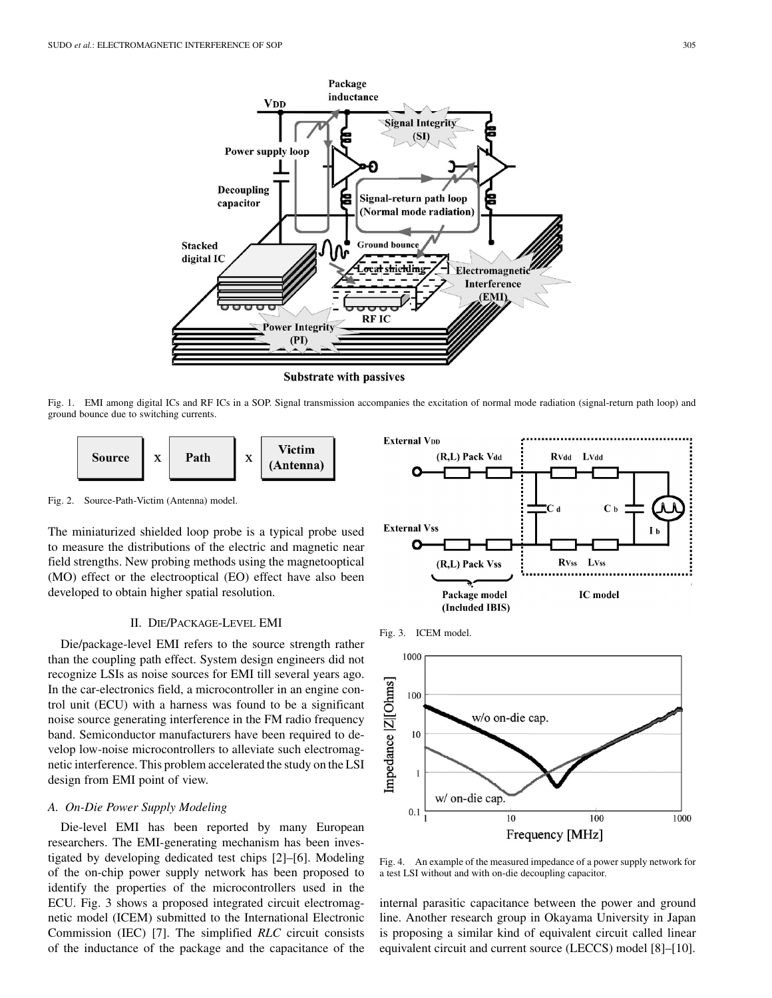

**Substrate with passives** 

Fig. 1. EMI among digital ICs and RF ICs in a SOP. Signal transmission accompanies the excitation of normal mode radiation (signal-return path loop) and ground bounce due to switching currents.



Fig. 2. Source-Path-Victim (Antenna) model.

The miniaturized shielded loop probe is a typical probe used to measure the distributions of the electric and magnetic near field strengths. New probing methods using the magnetooptical (MO) effect or the electrooptical (EO) effect have also been developed to obtain higher spatial resolution.

# II. DIE/PACKAGE-LEVEL EMI

Die/package-level EMI refers to the source strength rather than the coupling path effect. System design engineers did not recognize LSIs as noise sources for EMI till several years ago. In the car-electronics field, a microcontroller in an engine control unit (ECU) with a harness was found to be a significant noise source generating interference in the FM radio frequency band. Semiconductor manufacturers have been required to develop low-noise microcontrollers to alleviate such electromagnetic interference. This problem accelerated the study on the LSI design from EMI point of view.

#### *A. On-Die Power Supply Modeling*

Die-level EMI has been reported by many European researchers. The EMI-generating mechanism has been investigated by developing dedicated test chips [\[2](#page-9-0)]–[[6\]](#page-9-0). Modeling of the on-chip power supply network has been proposed to identify the properties of the microcontrollers used in the ECU. Fig. 3 shows a proposed integrated circuit electromagnetic model (ICEM) submitted to the International Electronic Commission (IEC) [[7\]](#page-9-0). The simplified *RLC* circuit consists of the inductance of the package and the capacitance of the



Fig. 3. ICEM model.



Fig. 4. An example of the measured impedance of a power supply network for a test LSI without and with on-die decoupling capacitor.

internal parasitic capacitance between the power and ground line. Another research group in Okayama University in Japan is proposing a similar kind of equivalent circuit called linear equivalent circuit and current source (LECCS) model [\[8](#page-9-0)]–[\[10](#page-9-0)].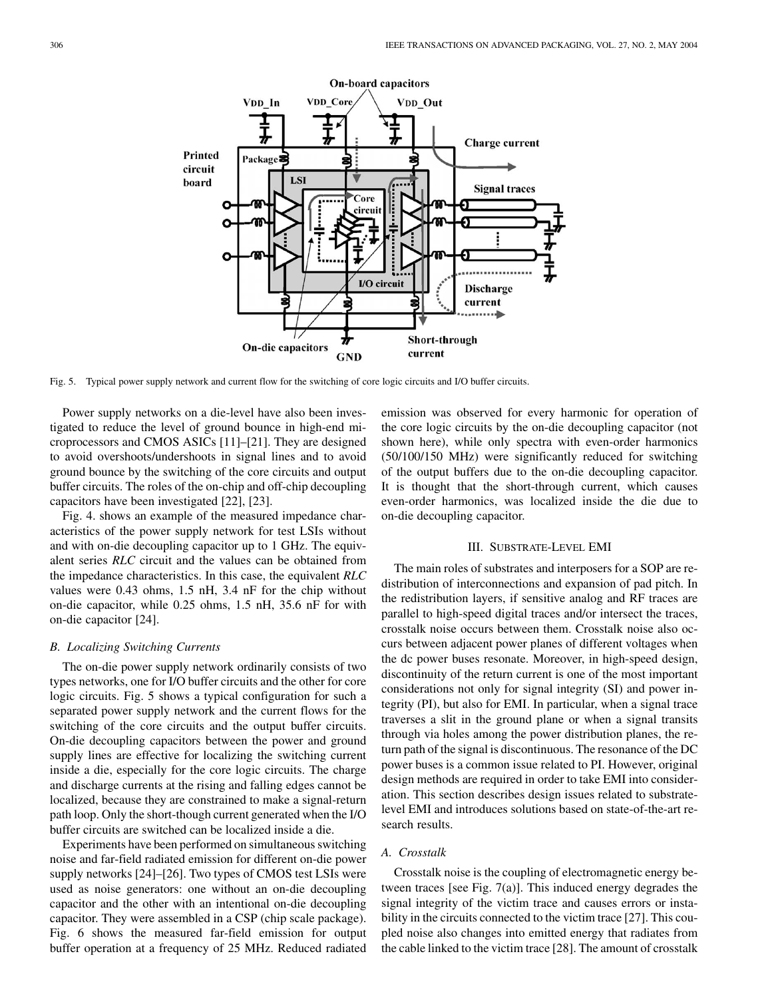

Fig. 5. Typical power supply network and current flow for the switching of core logic circuits and I/O buffer circuits.

Power supply networks on a die-level have also been investigated to reduce the level of ground bounce in high-end microprocessors and CMOS ASICs [\[11](#page-9-0)]–[\[21](#page-9-0)]. They are designed to avoid overshoots/undershoots in signal lines and to avoid ground bounce by the switching of the core circuits and output buffer circuits. The roles of the on-chip and off-chip decoupling capacitors have been investigated [[22\]](#page-9-0), [[23\]](#page-9-0).

Fig. 4. shows an example of the measured impedance characteristics of the power supply network for test LSIs without and with on-die decoupling capacitor up to 1 GHz. The equivalent series *RLC* circuit and the values can be obtained from the impedance characteristics. In this case, the equivalent *RLC* values were 0.43 ohms, 1.5 nH, 3.4 nF for the chip without on-die capacitor, while 0.25 ohms, 1.5 nH, 35.6 nF for with on-die capacitor [[24\]](#page-9-0).

# *B. Localizing Switching Currents*

The on-die power supply network ordinarily consists of two types networks, one for I/O buffer circuits and the other for core logic circuits. Fig. 5 shows a typical configuration for such a separated power supply network and the current flows for the switching of the core circuits and the output buffer circuits. On-die decoupling capacitors between the power and ground supply lines are effective for localizing the switching current inside a die, especially for the core logic circuits. The charge and discharge currents at the rising and falling edges cannot be localized, because they are constrained to make a signal-return path loop. Only the short-though current generated when the I/O buffer circuits are switched can be localized inside a die.

Experiments have been performed on simultaneous switching noise and far-field radiated emission for different on-die power supply networks [\[24](#page-9-0)]–[\[26](#page-9-0)]. Two types of CMOS test LSIs were used as noise generators: one without an on-die decoupling capacitor and the other with an intentional on-die decoupling capacitor. They were assembled in a CSP (chip scale package). Fig. 6 shows the measured far-field emission for output buffer operation at a frequency of 25 MHz. Reduced radiated emission was observed for every harmonic for operation of the core logic circuits by the on-die decoupling capacitor (not shown here), while only spectra with even-order harmonics (50/100/150 MHz) were significantly reduced for switching of the output buffers due to the on-die decoupling capacitor. It is thought that the short-through current, which causes even-order harmonics, was localized inside the die due to on-die decoupling capacitor.

# III. SUBSTRATE-LEVEL EMI

The main roles of substrates and interposers for a SOP are redistribution of interconnections and expansion of pad pitch. In the redistribution layers, if sensitive analog and RF traces are parallel to high-speed digital traces and/or intersect the traces, crosstalk noise occurs between them. Crosstalk noise also occurs between adjacent power planes of different voltages when the dc power buses resonate. Moreover, in high-speed design, discontinuity of the return current is one of the most important considerations not only for signal integrity (SI) and power integrity (PI), but also for EMI. In particular, when a signal trace traverses a slit in the ground plane or when a signal transits through via holes among the power distribution planes, the return path of the signal is discontinuous. The resonance of the DC power buses is a common issue related to PI. However, original design methods are required in order to take EMI into consideration. This section describes design issues related to substratelevel EMI and introduces solutions based on state-of-the-art research results.

# *A. Crosstalk*

Crosstalk noise is the coupling of electromagnetic energy between traces [see Fig. 7(a)]. This induced energy degrades the signal integrity of the victim trace and causes errors or instability in the circuits connected to the victim trace [[27\]](#page-9-0). This coupled noise also changes into emitted energy that radiates from the cable linked to the victim trace [\[28](#page-9-0)]. The amount of crosstalk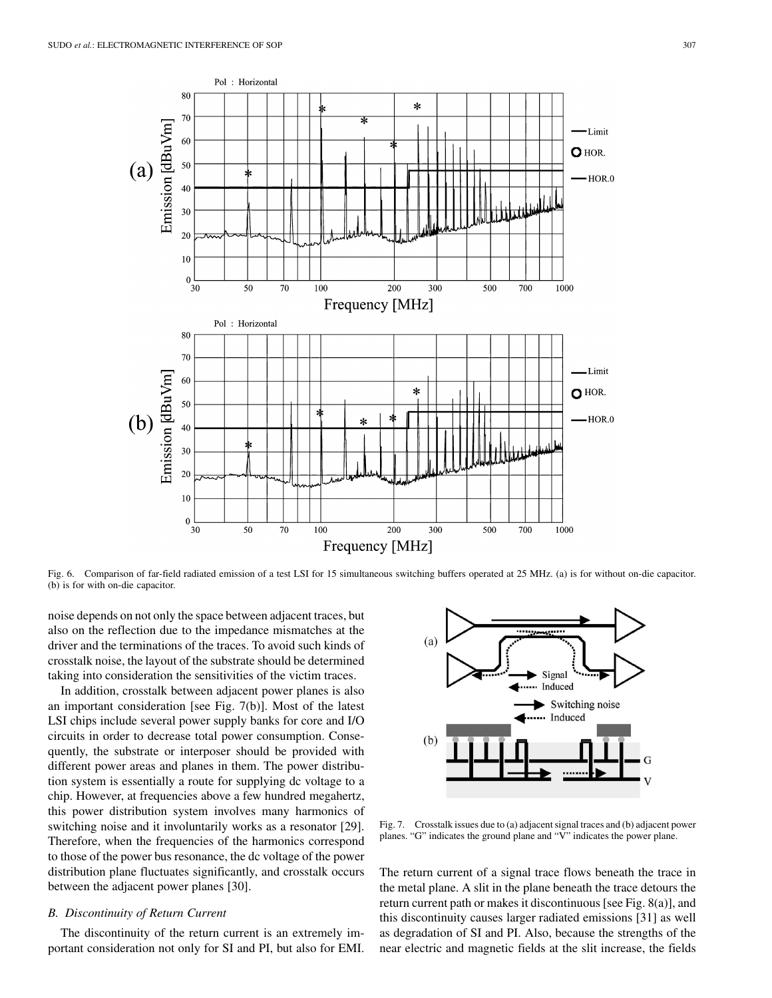

Fig. 6. Comparison of far-field radiated emission of a test LSI for 15 simultaneous switching buffers operated at 25 MHz. (a) is for without on-die capacitor. (b) is for with on-die capacitor.

noise depends on not only the space between adjacent traces, but also on the reflection due to the impedance mismatches at the driver and the terminations of the traces. To avoid such kinds of crosstalk noise, the layout of the substrate should be determined taking into consideration the sensitivities of the victim traces.

In addition, crosstalk between adjacent power planes is also an important consideration [see Fig. 7(b)]. Most of the latest LSI chips include several power supply banks for core and I/O circuits in order to decrease total power consumption. Consequently, the substrate or interposer should be provided with different power areas and planes in them. The power distribution system is essentially a route for supplying dc voltage to a chip. However, at frequencies above a few hundred megahertz, this power distribution system involves many harmonics of switching noise and it involuntarily works as a resonator [\[29](#page-10-0)]. Therefore, when the frequencies of the harmonics correspond to those of the power bus resonance, the dc voltage of the power distribution plane fluctuates significantly, and crosstalk occurs between the adjacent power planes [[30\]](#page-10-0).

# *B. Discontinuity of Return Current*

The discontinuity of the return current is an extremely important consideration not only for SI and PI, but also for EMI.



Fig. 7. Crosstalk issues due to (a) adjacent signal traces and (b) adjacent power planes. "G" indicates the ground plane and "V" indicates the power plane.

The return current of a signal trace flows beneath the trace in the metal plane. A slit in the plane beneath the trace detours the return current path or makes it discontinuous [see Fig. 8(a)], and this discontinuity causes larger radiated emissions [[31\]](#page-10-0) as well as degradation of SI and PI. Also, because the strengths of the near electric and magnetic fields at the slit increase, the fields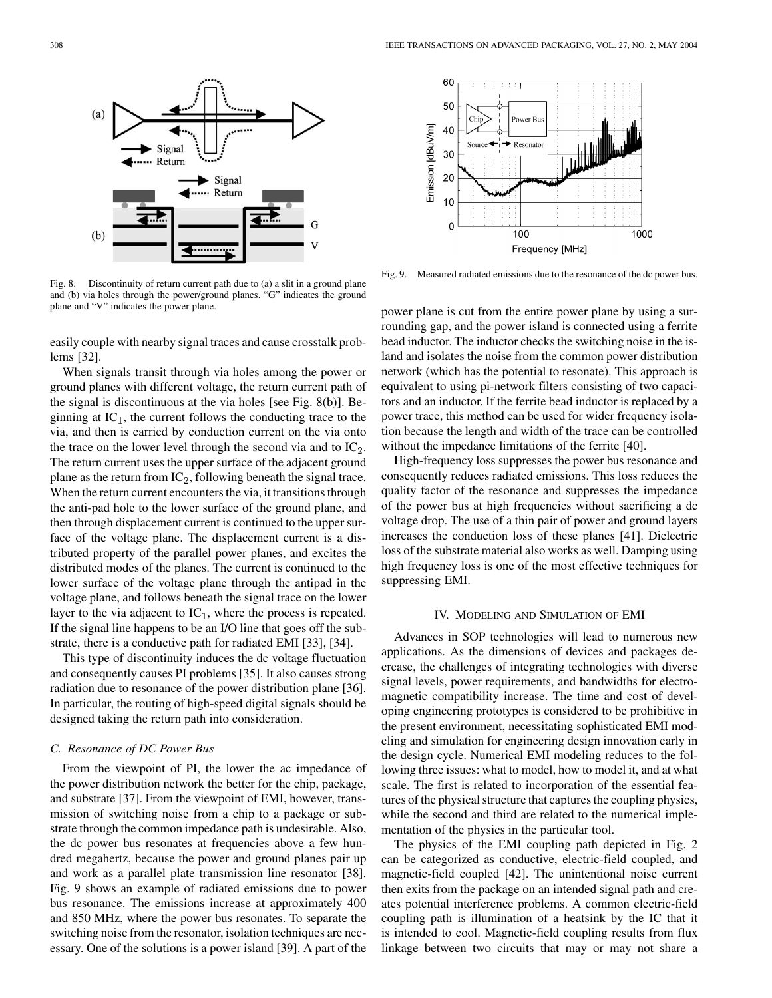

Fig. 8. Discontinuity of return current path due to (a) a slit in a ground plane and (b) via holes through the power/ground planes. "G" indicates the ground plane and "V" indicates the power plane.

easily couple with nearby signal traces and cause crosstalk problems [[32\]](#page-10-0).

When signals transit through via holes among the power or ground planes with different voltage, the return current path of the signal is discontinuous at the via holes [see Fig. 8(b)]. Beginning at  $IC_1$ , the current follows the conducting trace to the via, and then is carried by conduction current on the via onto the trace on the lower level through the second via and to  $IC_2$ . The return current uses the upper surface of the adjacent ground plane as the return from  $IC_2$ , following beneath the signal trace. When the return current encounters the via, it transitions through the anti-pad hole to the lower surface of the ground plane, and then through displacement current is continued to the upper surface of the voltage plane. The displacement current is a distributed property of the parallel power planes, and excites the distributed modes of the planes. The current is continued to the lower surface of the voltage plane through the antipad in the voltage plane, and follows beneath the signal trace on the lower layer to the via adjacent to  $IC<sub>1</sub>$ , where the process is repeated. If the signal line happens to be an I/O line that goes off the substrate, there is a conductive path for radiated EMI [\[33](#page-10-0)], [[34\]](#page-10-0).

This type of discontinuity induces the dc voltage fluctuation and consequently causes PI problems [[35\]](#page-10-0). It also causes strong radiation due to resonance of the power distribution plane [[36\]](#page-10-0). In particular, the routing of high-speed digital signals should be designed taking the return path into consideration.

# *C. Resonance of DC Power Bus*

From the viewpoint of PI, the lower the ac impedance of the power distribution network the better for the chip, package, and substrate [\[37](#page-10-0)]. From the viewpoint of EMI, however, transmission of switching noise from a chip to a package or substrate through the common impedance path is undesirable. Also, the dc power bus resonates at frequencies above a few hundred megahertz, because the power and ground planes pair up and work as a parallel plate transmission line resonator [[38\]](#page-10-0). Fig. 9 shows an example of radiated emissions due to power bus resonance. The emissions increase at approximately 400 and 850 MHz, where the power bus resonates. To separate the switching noise from the resonator, isolation techniques are necessary. One of the solutions is a power island [[39\]](#page-10-0). A part of the



Fig. 9. Measured radiated emissions due to the resonance of the dc power bus.

power plane is cut from the entire power plane by using a surrounding gap, and the power island is connected using a ferrite bead inductor. The inductor checks the switching noise in the island and isolates the noise from the common power distribution network (which has the potential to resonate). This approach is equivalent to using pi-network filters consisting of two capacitors and an inductor. If the ferrite bead inductor is replaced by a power trace, this method can be used for wider frequency isolation because the length and width of the trace can be controlled without the impedance limitations of the ferrite [\[40](#page-10-0)].

High-frequency loss suppresses the power bus resonance and consequently reduces radiated emissions. This loss reduces the quality factor of the resonance and suppresses the impedance of the power bus at high frequencies without sacrificing a dc voltage drop. The use of a thin pair of power and ground layers increases the conduction loss of these planes [[41\]](#page-10-0). Dielectric loss of the substrate material also works as well. Damping using high frequency loss is one of the most effective techniques for suppressing EMI.

# IV. MODELING AND SIMULATION OF EMI

Advances in SOP technologies will lead to numerous new applications. As the dimensions of devices and packages decrease, the challenges of integrating technologies with diverse signal levels, power requirements, and bandwidths for electromagnetic compatibility increase. The time and cost of developing engineering prototypes is considered to be prohibitive in the present environment, necessitating sophisticated EMI modeling and simulation for engineering design innovation early in the design cycle. Numerical EMI modeling reduces to the following three issues: what to model, how to model it, and at what scale. The first is related to incorporation of the essential features of the physical structure that captures the coupling physics, while the second and third are related to the numerical implementation of the physics in the particular tool.

The physics of the EMI coupling path depicted in Fig. 2 can be categorized as conductive, electric-field coupled, and magnetic-field coupled [[42\]](#page-10-0). The unintentional noise current then exits from the package on an intended signal path and creates potential interference problems. A common electric-field coupling path is illumination of a heatsink by the IC that it is intended to cool. Magnetic-field coupling results from flux linkage between two circuits that may or may not share a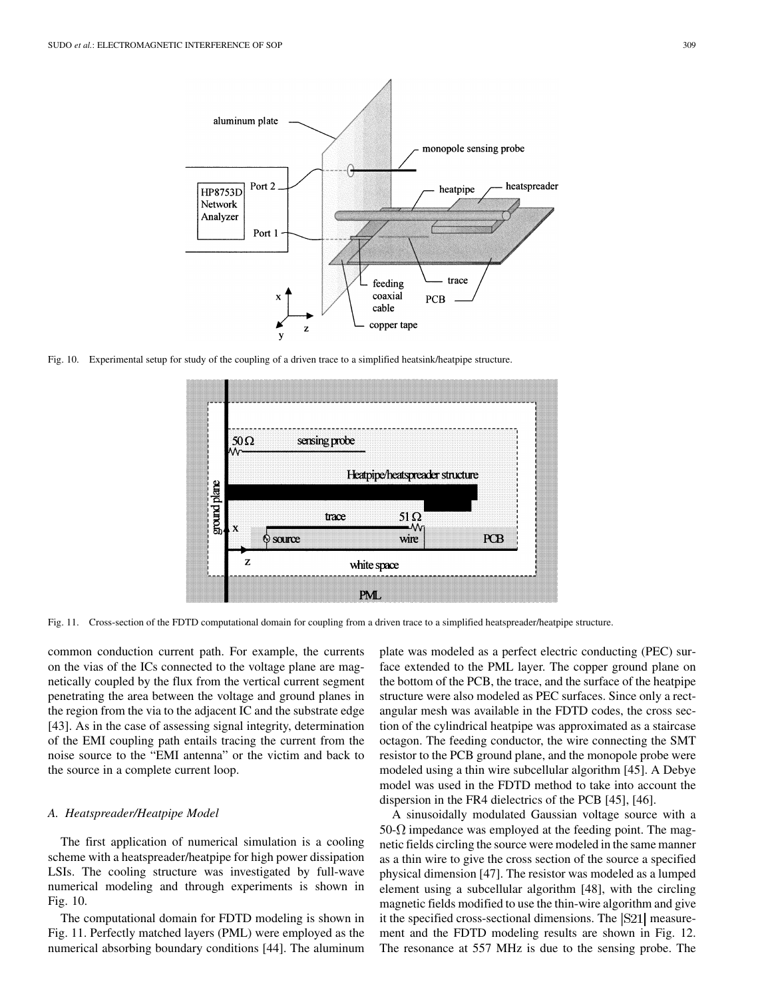

Fig. 10. Experimental setup for study of the coupling of a driven trace to a simplified heatsink/heatpipe structure.



Fig. 11. Cross-section of the FDTD computational domain for coupling from a driven trace to a simplified heatspreader/heatpipe structure.

common conduction current path. For example, the currents on the vias of the ICs connected to the voltage plane are magnetically coupled by the flux from the vertical current segment penetrating the area between the voltage and ground planes in the region from the via to the adjacent IC and the substrate edge [\[43](#page-10-0)]. As in the case of assessing signal integrity, determination of the EMI coupling path entails tracing the current from the noise source to the "EMI antenna" or the victim and back to the source in a complete current loop.

#### *A. Heatspreader/Heatpipe Model*

The first application of numerical simulation is a cooling scheme with a heatspreader/heatpipe for high power dissipation LSIs. The cooling structure was investigated by full-wave numerical modeling and through experiments is shown in Fig. 10.

The computational domain for FDTD modeling is shown in Fig. 11. Perfectly matched layers (PML) were employed as the numerical absorbing boundary conditions [[44\]](#page-10-0). The aluminum plate was modeled as a perfect electric conducting (PEC) surface extended to the PML layer. The copper ground plane on the bottom of the PCB, the trace, and the surface of the heatpipe structure were also modeled as PEC surfaces. Since only a rectangular mesh was available in the FDTD codes, the cross section of the cylindrical heatpipe was approximated as a staircase octagon. The feeding conductor, the wire connecting the SMT resistor to the PCB ground plane, and the monopole probe were modeled using a thin wire subcellular algorithm [\[45](#page-10-0)]. A Debye model was used in the FDTD method to take into account the dispersion in the FR4 dielectrics of the PCB [\[45](#page-10-0)], [[46\]](#page-10-0).

A sinusoidally modulated Gaussian voltage source with a 50- $\Omega$  impedance was employed at the feeding point. The magnetic fields circling the source were modeled in the same manner as a thin wire to give the cross section of the source a specified physical dimension [[47\]](#page-10-0). The resistor was modeled as a lumped element using a subcellular algorithm [\[48](#page-10-0)], with the circling magnetic fields modified to use the thin-wire algorithm and give it the specified cross-sectional dimensions. The  $|S21|$  measurement and the FDTD modeling results are shown in Fig. 12. The resonance at 557 MHz is due to the sensing probe. The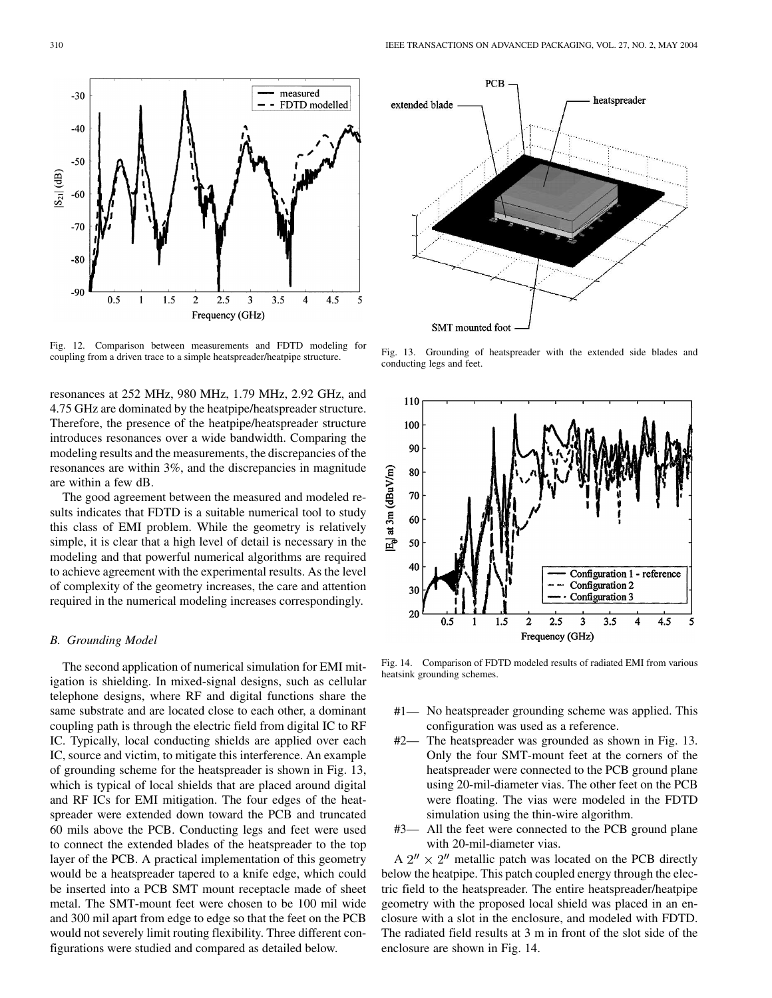Fig. 12. Comparison between measurements and FDTD modeling for coupling from a driven trace to a simple heatspreader/heatpipe structure.

2.5

Frequency (GHz)

3

 $3.5$ 

4.5

4

5

 $\mathbf{2}$ 

1.5

1

measured

- FDTD modelled

resonances at 252 MHz, 980 MHz, 1.79 MHz, 2.92 GHz, and 4.75 GHz are dominated by the heatpipe/heatspreader structure. Therefore, the presence of the heatpipe/heatspreader structure introduces resonances over a wide bandwidth. Comparing the modeling results and the measurements, the discrepancies of the resonances are within 3%, and the discrepancies in magnitude are within a few dB.

The good agreement between the measured and modeled results indicates that FDTD is a suitable numerical tool to study this class of EMI problem. While the geometry is relatively simple, it is clear that a high level of detail is necessary in the modeling and that powerful numerical algorithms are required to achieve agreement with the experimental results. As the level of complexity of the geometry increases, the care and attention required in the numerical modeling increases correspondingly.

# *B. Grounding Model*

The second application of numerical simulation for EMI mitigation is shielding. In mixed-signal designs, such as cellular telephone designs, where RF and digital functions share the same substrate and are located close to each other, a dominant coupling path is through the electric field from digital IC to RF IC. Typically, local conducting shields are applied over each IC, source and victim, to mitigate this interference. An example of grounding scheme for the heatspreader is shown in Fig. 13, which is typical of local shields that are placed around digital and RF ICs for EMI mitigation. The four edges of the heatspreader were extended down toward the PCB and truncated 60 mils above the PCB. Conducting legs and feet were used to connect the extended blades of the heatspreader to the top layer of the PCB. A practical implementation of this geometry would be a heatspreader tapered to a knife edge, which could be inserted into a PCB SMT mount receptacle made of sheet metal. The SMT-mount feet were chosen to be 100 mil wide and 300 mil apart from edge to edge so that the feet on the PCB would not severely limit routing flexibility. Three different configurations were studied and compared as detailed below.



Fig. 13. Grounding of heatspreader with the extended side blades and conducting legs and feet.



Fig. 14. Comparison of FDTD modeled results of radiated EMI from various heatsink grounding schemes.

- #1— No heatspreader grounding scheme was applied. This configuration was used as a reference.
- #2— The heatspreader was grounded as shown in Fig. 13. Only the four SMT-mount feet at the corners of the heatspreader were connected to the PCB ground plane using 20-mil-diameter vias. The other feet on the PCB were floating. The vias were modeled in the FDTD simulation using the thin-wire algorithm.
- #3— All the feet were connected to the PCB ground plane with 20-mil-diameter vias.

A  $2'' \times 2''$  metallic patch was located on the PCB directly below the heatpipe. This patch coupled energy through the electric field to the heatspreader. The entire heatspreader/heatpipe geometry with the proposed local shield was placed in an enclosure with a slot in the enclosure, and modeled with FDTD. The radiated field results at 3 m in front of the slot side of the enclosure are shown in Fig. 14.

 $-30$ 

-40

-50

 $-70$ 

 $-80$ 

 $-90$ 

 $0.5$ 

 $|S_{21}|$  (dB)  $-60$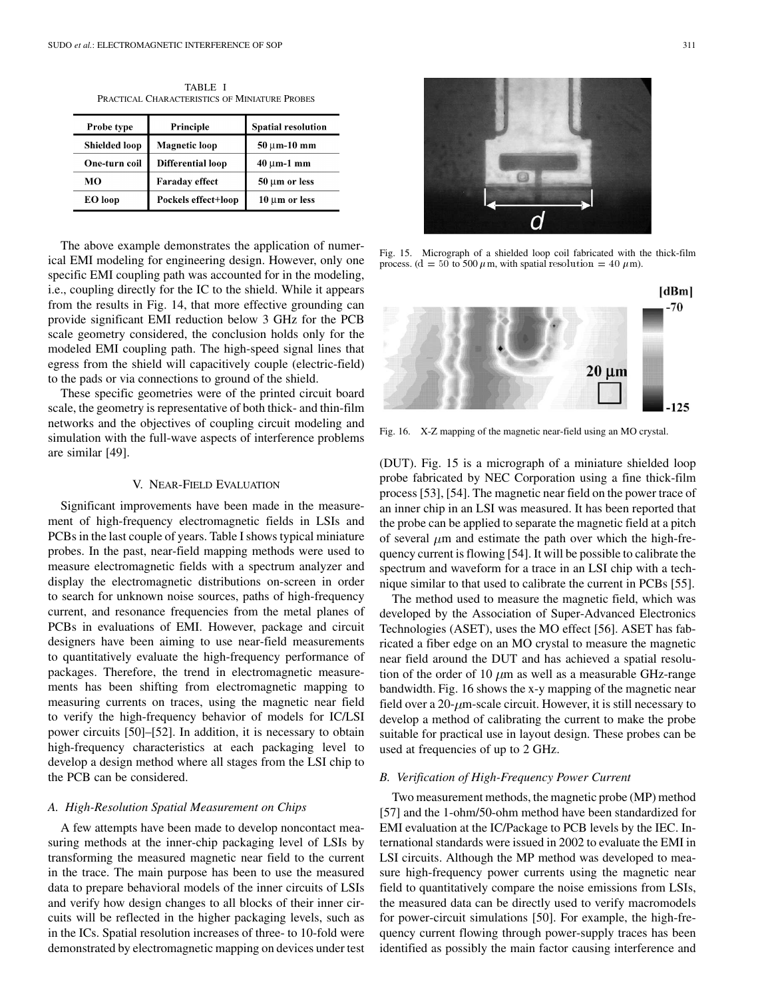TABLE I PRACTICAL CHARACTERISTICS OF MINIATURE PROBES

| Probe type    | Principle                | <b>Spatial resolution</b> |
|---------------|--------------------------|---------------------------|
| Shielded loop | <b>Magnetic</b> loop     | $50 \mu m-10 \text{ mm}$  |
| One-turn coil | <b>Differential loop</b> | $40 \mu m-1$ mm           |
| мо            | Faraday effect           | $50 \mu m$ or less        |
| EO loop       | Pockels effect+loop      | $10 \mu m$ or less        |

The above example demonstrates the application of numerical EMI modeling for engineering design. However, only one specific EMI coupling path was accounted for in the modeling, i.e., coupling directly for the IC to the shield. While it appears from the results in Fig. 14, that more effective grounding can provide significant EMI reduction below 3 GHz for the PCB scale geometry considered, the conclusion holds only for the modeled EMI coupling path. The high-speed signal lines that egress from the shield will capacitively couple (electric-field) to the pads or via connections to ground of the shield.

These specific geometries were of the printed circuit board scale, the geometry is representative of both thick- and thin-film networks and the objectives of coupling circuit modeling and simulation with the full-wave aspects of interference problems are similar [\[49](#page-10-0)].

#### V. NEAR-FIELD EVALUATION

Significant improvements have been made in the measurement of high-frequency electromagnetic fields in LSIs and PCBs in the last couple of years. Table I shows typical miniature probes. In the past, near-field mapping methods were used to measure electromagnetic fields with a spectrum analyzer and display the electromagnetic distributions on-screen in order to search for unknown noise sources, paths of high-frequency current, and resonance frequencies from the metal planes of PCBs in evaluations of EMI. However, package and circuit designers have been aiming to use near-field measurements to quantitatively evaluate the high-frequency performance of packages. Therefore, the trend in electromagnetic measurements has been shifting from electromagnetic mapping to measuring currents on traces, using the magnetic near field to verify the high-frequency behavior of models for IC/LSI power circuits [[50\]](#page-10-0)–[[52](#page-10-0)]. In addition, it is necessary to obtain high-frequency characteristics at each packaging level to develop a design method where all stages from the LSI chip to the PCB can be considered.

# *A. High-Resolution Spatial Measurement on Chips*

A few attempts have been made to develop noncontact measuring methods at the inner-chip packaging level of LSIs by transforming the measured magnetic near field to the current in the trace. The main purpose has been to use the measured data to prepare behavioral models of the inner circuits of LSIs and verify how design changes to all blocks of their inner circuits will be reflected in the higher packaging levels, such as in the ICs. Spatial resolution increases of three- to 10-fold were demonstrated by electromagnetic mapping on devices under test



Fig. 15. Micrograph of a shielded loop coil fabricated with the thick-film process. (d = 50 to 500  $\mu$ m, with spatial resolution = 40  $\mu$ m).



Fig. 16. X-Z mapping of the magnetic near-field using an MO crystal.

(DUT). Fig. 15 is a micrograph of a miniature shielded loop probe fabricated by NEC Corporation using a fine thick-film process [\[53](#page-10-0)], [\[54](#page-10-0)]. The magnetic near field on the power trace of an inner chip in an LSI was measured. It has been reported that the probe can be applied to separate the magnetic field at a pitch of several  $\mu$ m and estimate the path over which the high-frequency current is flowing [[54\]](#page-10-0). It will be possible to calibrate the spectrum and waveform for a trace in an LSI chip with a technique similar to that used to calibrate the current in PCBs [[55](#page-10-0)].

The method used to measure the magnetic field, which was developed by the Association of Super-Advanced Electronics Technologies (ASET), uses the MO effect [[56\]](#page-10-0). ASET has fabricated a fiber edge on an MO crystal to measure the magnetic near field around the DUT and has achieved a spatial resolution of the order of 10  $\mu$ m as well as a measurable GHz-range bandwidth. Fig. 16 shows the x-y mapping of the magnetic near field over a  $20$ - $\mu$ m-scale circuit. However, it is still necessary to develop a method of calibrating the current to make the probe suitable for practical use in layout design. These probes can be used at frequencies of up to 2 GHz.

# *B. Verification of High-Frequency Power Current*

Two measurement methods, the magnetic probe (MP) method [\[57](#page-10-0)] and the 1-ohm/50-ohm method have been standardized for EMI evaluation at the IC/Package to PCB levels by the IEC. International standards were issued in 2002 to evaluate the EMI in LSI circuits. Although the MP method was developed to measure high-frequency power currents using the magnetic near field to quantitatively compare the noise emissions from LSIs, the measured data can be directly used to verify macromodels for power-circuit simulations [[50\]](#page-10-0). For example, the high-frequency current flowing through power-supply traces has been identified as possibly the main factor causing interference and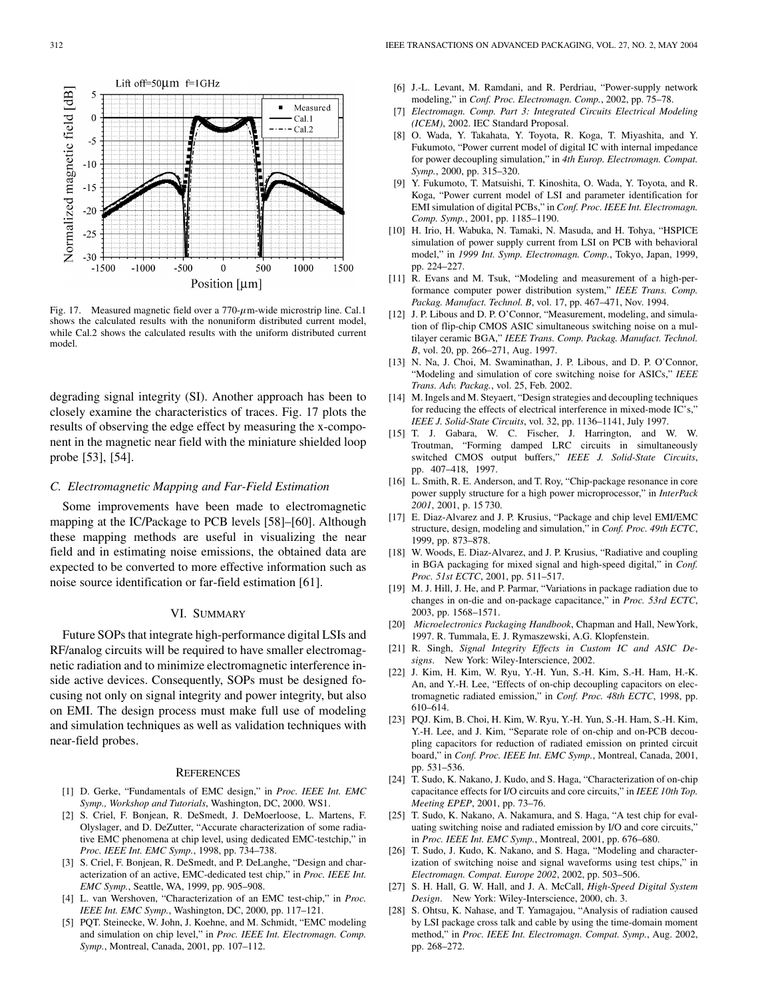<span id="page-9-0"></span>

Fig. 17. Measured magnetic field over a  $770$ - $\mu$ m-wide microstrip line. Cal.1 shows the calculated results with the nonuniform distributed current model, while Cal.2 shows the calculated results with the uniform distributed current model.

degrading signal integrity (SI). Another approach has been to closely examine the characteristics of traces. Fig. 17 plots the results of observing the edge effect by measuring the x-component in the magnetic near field with the miniature shielded loop probe [[53\]](#page-10-0), [[54\]](#page-10-0).

# *C. Electromagnetic Mapping and Far-Field Estimation*

Some improvements have been made to electromagnetic mapping at the IC/Package to PCB levels [[58\]](#page-10-0)–[\[60](#page-10-0)]. Although these mapping methods are useful in visualizing the near field and in estimating noise emissions, the obtained data are expected to be converted to more effective information such as noise source identification or far-field estimation [\[61](#page-10-0)].

## VI. SUMMARY

Future SOPs that integrate high-performance digital LSIs and RF/analog circuits will be required to have smaller electromagnetic radiation and to minimize electromagnetic interference inside active devices. Consequently, SOPs must be designed focusing not only on signal integrity and power integrity, but also on EMI. The design process must make full use of modeling and simulation techniques as well as validation techniques with near-field probes.

## **REFERENCES**

- [1] D. Gerke, "Fundamentals of EMC design," in *Proc. IEEE Int. EMC Symp., Workshop and Tutorials*, Washington, DC, 2000. WS1.
- [2] S. Criel, F. Bonjean, R. DeSmedt, J. DeMoerloose, L. Martens, F. Olyslager, and D. DeZutter, "Accurate characterization of some radiative EMC phenomena at chip level, using dedicated EMC-testchip," in *Proc. IEEE Int. EMC Symp.*, 1998, pp. 734–738.
- [3] S. Criel, F. Bonjean, R. DeSmedt, and P. DeLanghe, "Design and characterization of an active, EMC-dedicated test chip," in *Proc. IEEE Int. EMC Symp.*, Seattle, WA, 1999, pp. 905–908.
- [4] L. van Wershoven, "Characterization of an EMC test-chip," in *Proc. IEEE Int. EMC Symp.*, Washington, DC, 2000, pp. 117–121.
- [5] PQT. Steinecke, W. John, J. Koehne, and M. Schmidt, "EMC modeling and simulation on chip level," in *Proc. IEEE Int. Electromagn. Comp. Symp.*, Montreal, Canada, 2001, pp. 107–112.
- [6] J.-L. Levant, M. Ramdani, and R. Perdriau, "Power-supply network modeling," in *Conf. Proc. Electromagn. Comp.*, 2002, pp. 75–78.
- [7] *Electromagn. Comp. Part 3: Integrated Circuits Electrical Modeling (ICEM)*, 2002. IEC Standard Proposal.
- [8] O. Wada, Y. Takahata, Y. Toyota, R. Koga, T. Miyashita, and Y. Fukumoto, "Power current model of digital IC with internal impedance for power decoupling simulation," in *4th Europ. Electromagn. Compat. Symp.*, 2000, pp. 315–320.
- [9] Y. Fukumoto, T. Matsuishi, T. Kinoshita, O. Wada, Y. Toyota, and R. Koga, "Power current model of LSI and parameter identification for EMI simulation of digital PCBs," in *Conf. Proc. IEEE Int. Electromagn. Comp. Symp.*, 2001, pp. 1185–1190.
- [10] H. Irio, H. Wabuka, N. Tamaki, N. Masuda, and H. Tohya, "HSPICE simulation of power supply current from LSI on PCB with behavioral model," in *1999 Int. Symp. Electromagn. Comp.*, Tokyo, Japan, 1999, pp. 224–227.
- [11] R. Evans and M. Tsuk, "Modeling and measurement of a high-performance computer power distribution system," *IEEE Trans. Comp. Packag. Manufact. Technol. B*, vol. 17, pp. 467–471, Nov. 1994.
- [12] J. P. Libous and D. P. O'Connor, "Measurement, modeling, and simulation of flip-chip CMOS ASIC simultaneous switching noise on a multilayer ceramic BGA," *IEEE Trans. Comp. Packag. Manufact. Technol. B*, vol. 20, pp. 266–271, Aug. 1997.
- [13] N. Na, J. Choi, M. Swaminathan, J. P. Libous, and D. P. O'Connor, "Modeling and simulation of core switching noise for ASICs," *IEEE Trans. Adv. Packag.*, vol. 25, Feb. 2002.
- [14] M. Ingels and M. Steyaert, "Design strategies and decoupling techniques for reducing the effects of electrical interference in mixed-mode IC's," *IEEE J. Solid-State Circuits*, vol. 32, pp. 1136–1141, July 1997.
- [15] T. J. Gabara, W. C. Fischer, J. Harrington, and W. W. Troutman, "Forming damped LRC circuits in simultaneously switched CMOS output buffers," *IEEE J. Solid-State Circuits*, pp. 407–418, 1997.
- [16] L. Smith, R. E. Anderson, and T. Roy, "Chip-package resonance in core power supply structure for a high power microprocessor," in *InterPack 2001*, 2001, p. 15 730.
- [17] E. Diaz-Alvarez and J. P. Krusius, "Package and chip level EMI/EMC structure, design, modeling and simulation," in *Conf. Proc. 49th ECTC*, 1999, pp. 873–878.
- [18] W. Woods, E. Diaz-Alvarez, and J. P. Krusius, "Radiative and coupling in BGA packaging for mixed signal and high-speed digital," in *Conf. Proc. 51st ECTC*, 2001, pp. 511–517.
- [19] M. J. Hill, J. He, and P. Parmar, "Variations in package radiation due to changes in on-die and on-package capacitance," in *Proc. 53rd ECTC*, 2003, pp. 1568–1571.
- [20] *Microelectronics Packaging Handbook*, Chapman and Hall, NewYork, 1997. R. Tummala, E. J. Rymaszewski, A.G. Klopfenstein.
- [21] R. Singh, *Signal Integrity Effects in Custom IC and ASIC Designs*. New York: Wiley-Interscience, 2002.
- [22] J. Kim, H. Kim, W. Ryu, Y.-H. Yun, S.-H. Kim, S.-H. Ham, H.-K. An, and Y.-H. Lee, "Effects of on-chip decoupling capacitors on electromagnetic radiated emission," in *Conf. Proc. 48th ECTC*, 1998, pp. 610–614.
- [23] PQJ. Kim, B. Choi, H. Kim, W. Ryu, Y.-H. Yun, S.-H. Ham, S.-H. Kim, Y.-H. Lee, and J. Kim, "Separate role of on-chip and on-PCB decoupling capacitors for reduction of radiated emission on printed circuit board," in *Conf. Proc. IEEE Int. EMC Symp.*, Montreal, Canada, 2001, pp. 531–536.
- [24] T. Sudo, K. Nakano, J. Kudo, and S. Haga, "Characterization of on-chip capacitance effects for I/O circuits and core circuits," in *IEEE 10th Top. Meeting EPEP*, 2001, pp. 73–76.
- [25] T. Sudo, K. Nakano, A. Nakamura, and S. Haga, "A test chip for evaluating switching noise and radiated emission by I/O and core circuits," in *Proc. IEEE Int. EMC Symp.*, Montreal, 2001, pp. 676–680.
- [26] T. Sudo, J. Kudo, K. Nakano, and S. Haga, "Modeling and characterization of switching noise and signal waveforms using test chips," in *Electromagn. Compat. Europe 2002*, 2002, pp. 503–506.
- [27] S. H. Hall, G. W. Hall, and J. A. McCall, *High-Speed Digital System Design*. New York: Wiley-Interscience, 2000, ch. 3.
- [28] S. Ohtsu, K. Nahase, and T. Yamagajou, "Analysis of radiation caused by LSI package cross talk and cable by using the time-domain moment method," in *Proc. IEEE Int. Electromagn. Compat. Symp.*, Aug. 2002, pp. 268–272.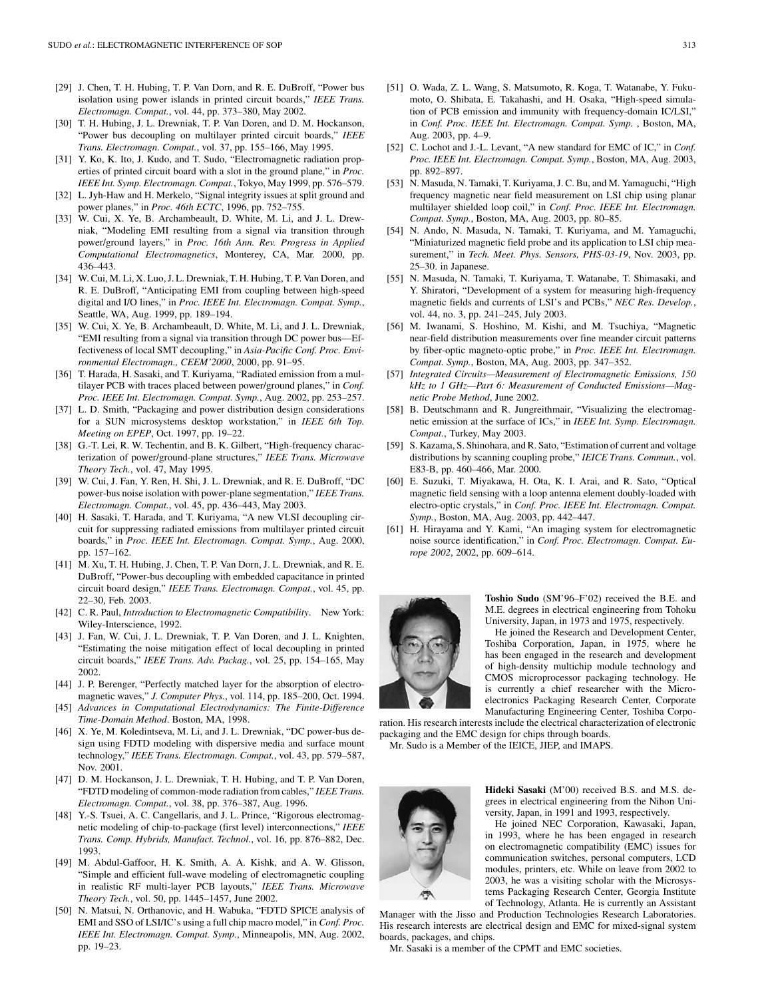- <span id="page-10-0"></span>[29] J. Chen, T. H. Hubing, T. P. Van Dorn, and R. E. DuBroff, "Power bus isolation using power islands in printed circuit boards," *IEEE Trans. Electromagn. Compat.*, vol. 44, pp. 373–380, May 2002.
- [30] T. H. Hubing, J. L. Drewniak, T. P. Van Doren, and D. M. Hockanson, "Power bus decoupling on multilayer printed circuit boards," *IEEE Trans. Electromagn. Compat.*, vol. 37, pp. 155–166, May 1995.
- [31] Y. Ko, K. Ito, J. Kudo, and T. Sudo, "Electromagnetic radiation properties of printed circuit board with a slot in the ground plane," in *Proc. IEEE Int. Symp. Electromagn. Compat.*, Tokyo, May 1999, pp. 576–579.
- [32] L. Jyh-Haw and H. Merkelo, "Signal integrity issues at split ground and power planes," in *Proc. 46th ECTC*, 1996, pp. 752–755.
- [33] W. Cui, X. Ye, B. Archambeault, D. White, M. Li, and J. L. Drewniak, "Modeling EMI resulting from a signal via transition through power/ground layers," in *Proc. 16th Ann. Rev. Progress in Applied Computational Electromagnetics*, Monterey, CA, Mar. 2000, pp. 436–443.
- [34] W. Cui, M. Li, X. Luo, J. L. Drewniak, T. H. Hubing, T. P. Van Doren, and R. E. DuBroff, "Anticipating EMI from coupling between high-speed digital and I/O lines," in *Proc. IEEE Int. Electromagn. Compat. Symp.*, Seattle, WA, Aug. 1999, pp. 189–194.
- [35] W. Cui, X. Ye, B. Archambeault, D. White, M. Li, and J. L. Drewniak, "EMI resulting from a signal via transition through DC power bus—Effectiveness of local SMT decoupling," in *Asia-Pacific Conf. Proc. Environmental Electromagn., CEEM'2000*, 2000, pp. 91–95.
- [36] T. Harada, H. Sasaki, and T. Kuriyama, "Radiated emission from a multilayer PCB with traces placed between power/ground planes," in *Conf. Proc. IEEE Int. Electromagn. Compat. Symp.*, Aug. 2002, pp. 253–257.
- [37] L. D. Smith, "Packaging and power distribution design considerations for a SUN microsystems desktop workstation," in *IEEE 6th Top. Meeting on EPEP*, Oct. 1997, pp. 19–22.
- [38] G.-T. Lei, R. W. Techentin, and B. K. Gilbert, "High-frequency characterization of power/ground-plane structures," *IEEE Trans. Microwave Theory Tech.*, vol. 47, May 1995.
- [39] W. Cui, J. Fan, Y. Ren, H. Shi, J. L. Drewniak, and R. E. DuBroff, "DC power-bus noise isolation with power-plane segmentation," *IEEE Trans. Electromagn. Compat.*, vol. 45, pp. 436–443, May 2003.
- [40] H. Sasaki, T. Harada, and T. Kuriyama, "A new VLSI decoupling circuit for suppressing radiated emissions from multilayer printed circuit boards," in *Proc. IEEE Int. Electromagn. Compat. Symp.*, Aug. 2000, pp. 157–162.
- [41] M. Xu, T. H. Hubing, J. Chen, T. P. Van Dorn, J. L. Drewniak, and R. E. DuBroff, "Power-bus decoupling with embedded capacitance in printed circuit board design," *IEEE Trans. Electromagn. Compat.*, vol. 45, pp. 22–30, Feb. 2003.
- [42] C. R. Paul, *Introduction to Electromagnetic Compatibility*. New York: Wiley-Interscience, 1992.
- [43] J. Fan, W. Cui, J. L. Drewniak, T. P. Van Doren, and J. L. Knighten, "Estimating the noise mitigation effect of local decoupling in printed circuit boards," *IEEE Trans. Adv. Packag.*, vol. 25, pp. 154–165, May 2002.
- [44] J. P. Berenger, "Perfectly matched layer for the absorption of electromagnetic waves," *J. Computer Phys.*, vol. 114, pp. 185–200, Oct. 1994.
- [45] *Advances in Computational Electrodynamics: The Finite-Difference Time-Domain Method*. Boston, MA, 1998.
- [46] X. Ye, M. Koledintseva, M. Li, and J. L. Drewniak, "DC power-bus design using FDTD modeling with dispersive media and surface mount technology," *IEEE Trans. Electromagn. Compat.*, vol. 43, pp. 579–587, Nov. 2001.
- [47] D. M. Hockanson, J. L. Drewniak, T. H. Hubing, and T. P. Van Doren, "FDTD modeling of common-mode radiation from cables," *IEEE Trans. Electromagn. Compat.*, vol. 38, pp. 376–387, Aug. 1996.
- [48] Y.-S. Tsuei, A. C. Cangellaris, and J. L. Prince, "Rigorous electromagnetic modeling of chip-to-package (first level) interconnections," *IEEE Trans. Comp. Hybrids, Manufact. Technol.*, vol. 16, pp. 876–882, Dec. 1993.
- [49] M. Abdul-Gaffoor, H. K. Smith, A. A. Kishk, and A. W. Glisson, "Simple and efficient full-wave modeling of electromagnetic coupling in realistic RF multi-layer PCB layouts," *IEEE Trans. Microwave Theory Tech.*, vol. 50, pp. 1445–1457, June 2002.
- [50] N. Matsui, N. Orthanovic, and H. Wabuka, "FDTD SPICE analysis of EMI and SSO of LSI/IC's using a full chip macro model," in *Conf. Proc. IEEE Int. Electromagn. Compat. Symp.*, Minneapolis, MN, Aug. 2002, pp. 19–23.
- [51] O. Wada, Z. L. Wang, S. Matsumoto, R. Koga, T. Watanabe, Y. Fukumoto, O. Shibata, E. Takahashi, and H. Osaka, "High-speed simulation of PCB emission and immunity with frequency-domain IC/LSI," in *Conf. Proc. IEEE Int. Electromagn. Compat. Symp.* , Boston, MA, Aug. 2003, pp. 4–9.
- [52] C. Lochot and J.-L. Levant, "A new standard for EMC of IC," in *Conf. Proc. IEEE Int. Electromagn. Compat. Symp.*, Boston, MA, Aug. 2003, pp. 892–897.
- [53] N. Masuda, N. Tamaki, T. Kuriyama, J. C. Bu, and M. Yamaguchi, "High frequency magnetic near field measurement on LSI chip using planar multilayer shielded loop coil," in *Conf. Proc. IEEE Int. Electromagn. Compat. Symp.*, Boston, MA, Aug. 2003, pp. 80–85.
- [54] N. Ando, N. Masuda, N. Tamaki, T. Kuriyama, and M. Yamaguchi, "Miniaturized magnetic field probe and its application to LSI chip measurement," in *Tech. Meet. Phys. Sensors, PHS-03-19*, Nov. 2003, pp. 25–30. in Japanese.
- [55] N. Masuda, N. Tamaki, T. Kuriyama, T. Watanabe, T. Shimasaki, and Y. Shiratori, "Development of a system for measuring high-frequency magnetic fields and currents of LSI's and PCBs," *NEC Res. Develop.*, vol. 44, no. 3, pp. 241–245, July 2003.
- [56] M. Iwanami, S. Hoshino, M. Kishi, and M. Tsuchiya, "Magnetic near-field distribution measurements over fine meander circuit patterns by fiber-optic magneto-optic probe," in *Proc. IEEE Int. Electromagn. Compat. Symp.*, Boston, MA, Aug. 2003, pp. 347–352.
- [57] *Integrated Circuits—Measurement of Electromagnetic Emissions, 150 kHz to 1 GHz—Part 6: Measurement of Conducted Emissions—Magnetic Probe Method*, June 2002.
- [58] B. Deutschmann and R. Jungreithmair, "Visualizing the electromagnetic emission at the surface of ICs," in *IEEE Int. Symp. Electromagn. Compat.*, Turkey, May 2003.
- [59] S. Kazama, S. Shinohara, and R. Sato, "Estimation of current and voltage distributions by scanning coupling probe," *IEICE Trans. Commun.*, vol. E83-B, pp. 460–466, Mar. 2000.
- [60] E. Suzuki, T. Miyakawa, H. Ota, K. I. Arai, and R. Sato, "Optical magnetic field sensing with a loop antenna element doubly-loaded with electro-optic crystals," in *Conf. Proc. IEEE Int. Electromagn. Compat. Symp.*, Boston, MA, Aug. 2003, pp. 442–447.
- [61] H. Hirayama and Y. Kami, "An imaging system for electromagnetic noise source identification," in *Conf. Proc. Electromagn. Compat. Europe 2002*, 2002, pp. 609–614.



**Toshio Sudo** (SM'96–F'02) received the B.E. and M.E. degrees in electrical engineering from Tohoku University, Japan, in 1973 and 1975, respectively.

He joined the Research and Development Center, Toshiba Corporation, Japan, in 1975, where he has been engaged in the research and development of high-density multichip module technology and CMOS microprocessor packaging technology. He is currently a chief researcher with the Microelectronics Packaging Research Center, Corporate Manufacturing Engineering Center, Toshiba Corpo-

ration. His research interests include the electrical characterization of electronic packaging and the EMC design for chips through boards.

Mr. Sudo is a Member of the IEICE, JIEP, and IMAPS.



**Hideki Sasaki** (M'00) received B.S. and M.S. degrees in electrical engineering from the Nihon University, Japan, in 1991 and 1993, respectively.

He joined NEC Corporation, Kawasaki, Japan, in 1993, where he has been engaged in research on electromagnetic compatibility (EMC) issues for communication switches, personal computers, LCD modules, printers, etc. While on leave from 2002 to 2003, he was a visiting scholar with the Microsystems Packaging Research Center, Georgia Institute of Technology, Atlanta. He is currently an Assistant

Manager with the Jisso and Production Technologies Research Laboratories. His research interests are electrical design and EMC for mixed-signal system boards, packages, and chips.

Mr. Sasaki is a member of the CPMT and EMC societies.